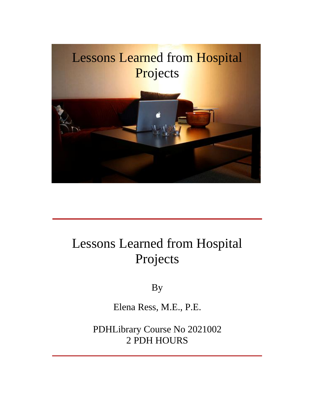

# Lessons Learned from Hospital Projects

By

Elena Ress, M.E., P.E.

PDHLibrary Course No 2021002 2 PDH HOURS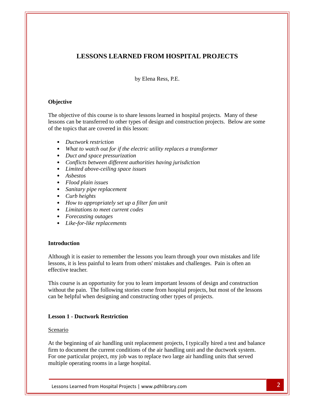### **LESSONS LEARNED FROM HOSPITAL PROJECTS**

by Elena Ress, P.E.

# **Objective**

The objective of this course is to share lessons learned in hospital projects. Many of these lessons can be transferred to other types of design and construction projects. Below are some ï**Objective**<br>The objective of this course is to share lessons le<br>lessons can be transferred to other types of desig<br>of the topics that are covered in this lesson: *to to**to**fortative**of this course is to share lessons learned in hospital projects. Man**ons can be transferred to other types of design and construction projects. Be**be topics that are covered in this lesson:* ï**c** of the topics that are covered in this lesson:<br>
• *Ductwork restriction*<br>
• *What to watch out for if the electric utility replaces a transformer*<br>
• *Duct and space pressurization*<br>
• *Conflicts between different auth* 

- *Ductwork restriction*
- 
- *Duct and space pressurization* • Ductwork restri<br>• What to watch c<br>• Duct and space<br>• Conflicts betwee<br>• Limited above-c<br>• Asbestos • *Ductwork restriction*<br>• *What to watch out for if ti*<br>• *Duct and space pressuriz*<br>• *Conflicts between differer*<br>• *Limited above-ceiling space Asbestos*<br>• *Flood plain issues*
- *Conflicts between dif erent authorities having jurisdiction* • *Sand Liferand Space pressurization*<br>• *Conflicts between different auth*<br>• *Limited above-ceiling space iss*<br>• *Asbestos*<br>• *Flood plain issues*<br>• *Sanitary pipe replacement* • *Conflicts between di*<br>• *Conflicts between di*<br>• *Limited above-ceilir*<br>• *Asbestos*<br>• *Curb heights*<br>• *Curb heights*
- 
- 
- 
- 
- 
- Conflicts between alfferent authorities having fun<br>• Limited above-ceiling space issues<br>• Asbestos<br>• Flood plain issues<br>• Sanitary pipe replacement<br>• Curb heights<br>• How to appropriately set up a filter fan unit • *Limited above-cetting space issues*<br>• *Asbestos*<br>• *Flood plain issues*<br>• *Sanitary pipe replacement*<br>• *Curb heights*<br>• *How to appropriately set up a filter fan t*<br>• *Limitations to meet current codes* • *Flood plain issues*<br>• *Flood plain issues*<br>• *Sanitary pipe replacement*<br>• *Curb heights*<br>• *How to appropriately set up*<br>• *Limitations to meet current*<br>• *Forecasting outages*
- 
- 
- *Like-for-like replacements*

#### **Introduction**

Although it is easier to remember the lessons you learn through your own mistakes and life lessons, it is less painful to learn from others' mistakes and challenges. Pain is often an effective teacher.

This course is an opportunity for you to learn important lessons of design and construction without the pain. The following stories come from hospital projects, but most of the lessons can be helpful when designing and constructing other types of projects.

#### **Lesson 1 - Ductwork Restriction**

#### Scenario

At the beginning of air handling unit replacement projects, I typically hired a test and balance ginning of air handling unit replacement projects, I typically hired a test and balance<br>
becument the current conditions of the air handling unit and the ductwork system.<br>
articular project, my job was to replace two large firm to document the current conditions of the air handling unit and the ductwork system. For one particular project, my job was to replace two large air handling units that served multiple operating rooms in a large hospital.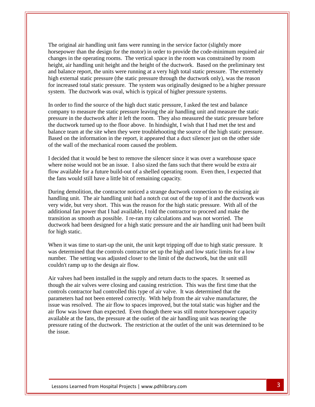The original air handling unit fans were running in the service factor (slightly more horsepower than the design for the motor) in order to provide the code-minimum required air changes in the operating rooms. The vertical space in the room was constrained by room height, air handling unit height and the height of the ductwork. Based on the preliminary test and balance report, the units were running at a very high total static pressure. The extremely high external static pressure (the static pressure through the ductwork only), was the reason for increased total static pressure. The system was originally designed to be a higher pressure system. The ductwork was oval, which is typical of higher pressure systems.

In order to find the source of the high duct static pressure, I asked the test and balance company to measure the static pressure leaving the air handling unit and measure the static pressure in the ductwork after it left the room. They also measured the static pressure before the ductwork turned up to the floor above. In hindsight, I wish that I had met the test and balance team at the site when they were troublehooting the source of the high static pressure. Based on the information in the report, it appeared that a duct silencer just on the other side of the wall of the mechanical room caused the problem.

I decided that it would be best to remove the silencer since it was over a warehouse space where noise would not be an issue. I also sized the fans such that there would be extra air flow available for a future build-out of a shelled operating room. Even then, I expected that the fans would still have a little bit of remaining capacity.

During demolition, the contractor noticed a strange ductwork connection to the existing air handling unit. The air handling unit had a notch cut out of the top of it and the ductwork was very wide, but very short. This was the reason for the high static pressure. With all of the additional fan power that I had available, I told the contractor to proceed and make the transition as smooth as possible. I re-ran my calculations and was not worried. The ductwork had been designed for a high static pressure and the air handling unit had been built for high static.

When it was time to start-up the unit, the unit kept tripping off due to high static pressure. It was determined that the controls contractor set up the high and low static limits for a low number. The setting was adjusted closer to the limit of the ductwork, but the unit still couldn't ramp up to the design air flow.

 Learned from Hospital Projects <sup>|</sup> www.pdhlibrary.com <sup>3</sup> Air valves had been installed in the supply and return ducts to the spaces. It seemed as though the air valves were closing and causing restriction. This was the first time that the controls contractor had controlled this type of air valve. It was determined that the parameters had not been entered correctly. With help from the air valve manufacturer, the issue was resolved. The air flow to spaces improved, but the total static was higher and the air flow was lower than expected. Even though there was still motor horsepower capacity available at the fans, the pressure at the outlet of the air handling unit was nearing the pressure rating of the ductwork. The restriction at the outlet of the unit was determined to be the issue.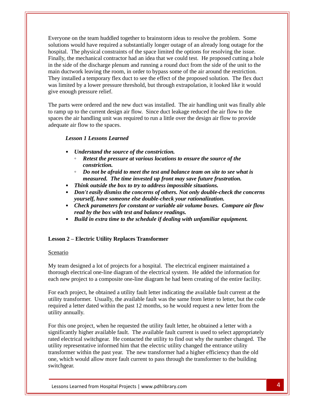Everyone on the team huddled together to brainstorm ideas to resolve the problem. Some solutions would have required a substantially longer outage of an already long outage for the hospital. The physical constraints of the space limited the options for resolving the issue. Finally, the mechanical contractor had an idea that we could test. He proposed cutting a hole in the side of the discharge plenum and running a round duct from the side of the unit to the main ductwork leaving the room, in order to bypass some of the air around the restriction. They installed a temporary flex duct to see the effect of the proposed solution. The flex duct was limited by a lower pressure threshold, but through extrapolation, it looked like it would give enough pressure relief.

The parts were ordered and the new duct was installed. The air handling unit was finally able to ramp up to the current design air flow. Since duct leakage reduced the air flow to the spaces the air handling unit was required to run a little over the design air flow to provide adequate air flow to the spaces. *Understand the source and the spaces.*<br> *understand the spaces.*<br> **Son 1 Lessons Learned**<br> **Understand the source of the constriction.** 

#### *Lesson 1 Lessons Learned*

- - *Retest the pressure at various locations to ensure the source of the Understand the source of the constriction.*<br>
	<sup>◦</sup> Retest the pressure at various locations<br>
	constriction.
- *Do notbe afraid to meet the test and balance team on site to see what is measured.* **The** *inderstand the source of the constriction.*<br> **i** *Retest the pressure at various locations to ensure the source of the constriction.*<br> *Po not be afraid to meet the test and balance team on site to see Thinka Thinka Thinka Constriction. Constriction. Point to <i>te afraid to meet the test and balance team on site to s**measured. The time invested up front may save future frustre* **<b>***Think outside the bo*
- 
- *Don't easily dismiss the concerns of others. Not only double-check the concerns Pourself in the pressure at various tocations to ensure the source of t*<br> *yourstriction.*<br> *Do not be afraid to meet the test and balance team on site to see<br>
measured. The time invested up front may save future frustrat readom be a praia to meet the test and balance ted*<br>*reasured. The time invested up front may save*<br>**•** Think outside the box to try to address impossible si<br>**•** Don't easily dismiss the concerns of others. Not only<br>yours
- *Check parameters for constant or variable air volume boxes. Compare air flow*
- *Build in extra time to the schedule ifdealing with unfamiliar equipment.*

#### **Lesson 2 – Electric Utility Replaces Transformer**

#### Scenario

My team designed a lot of projects for a hospital. The electrical engineer maintained a thorough electrical one-line diagram of the electrical system. He added the information for each new project to a composite one-line diagram he had been creating of the entire facility.

For each project, he obtained a utility fault letter indicating the available fault current at the utility transformer. Usually, the available fault was the same from letter to letter, but the code required a letter dated within the past 12 months, so he would request a new letter from the utility annually.

utility representative informed him that the electric utility changed the entrance utility Implementative informal fault. The available fault current is used to select appropriately<br>trical switchgear. He contacted the utility to find out why the number changed. The<br>presentative informed him that the electric uti For this one project, when he requested the utility fault letter, he obtained a letter with a significantly higher available fault. The available fault current is used to select appropriately rated electrical switchgear. He contacted the utility to find out why the number changed. The transformer within the past year. The new transformer had a higher efficiency than the old one, which would allow more fault current to pass through the transformer to the building switchgear.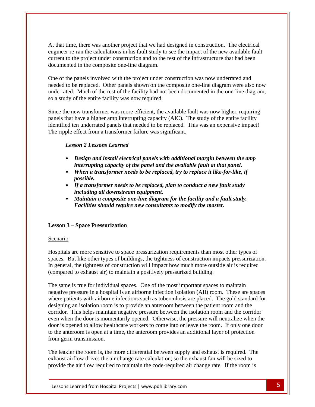At that time, there was another project that we had designed in construction. The electrical engineer re-ran the calculations in his fault study to see the impact of the new available fault current to the project under construction and to the rest of the infrastructure that had been documented in the composite one-line diagram.

One of the panels involved with the project under construction was now underrated and needed to be replaced. Other panels shown on the composite one-line diagram were also now underrated. Much of the rest of the facility had not been documented in the one-line diagram, so a study of the entire facility was now required.

Since the new transformer was more efficient, the available fault was now higher, requiring panels that have a higher amp interrupting capacity (AIC). The study of the entire facility identified ten underrated panels that needed to be replaced. This was an expensive impact! The ripple effect from a transformer failure was significant.

#### *Lesson 2 Lessons Learned*

- *Design and install electrical panels with additional margin between the amp i*<br>*independent of <i>the capacity capacity capacity capacity capacity capacity of the panels with additional margin between the amdinate <i>interrupting capacity of the panel and the available fault at th Posson 2 Lesson:*<br> **•** *Design and interrupting*<br> **•** *When a transpossible.* • Design and install electrical panels with a<br>interrupting capacity of the panel and the<br>When a transformer needs to be replaced,<br>possible.<br>If a transformer needs to be replaced, plan<br>including all downstream equipment.
- *When a transformer needs to be replaced, try to replace it like-for-like, if*
- *If a transformer needs to be replaced, plan to conduct a new fault study*
- *Maintain a composite one-line diagram for the facility and a fault study. Facilities should require new consultants to modify the master.*

#### **Lesson 3 – Space Pressurization**

#### Scenario

Hospitals are more sensitive to space pressurization requirements than most other types of spaces. But like other types of buildings, the tightness of construction impacts pressurization. In general, the tightness of construction will impact how much more outside air is required (compared to exhaust air) to maintain a positively pressurized building.

The same is true for individual spaces. One of the most important spaces to maintain negative pressure in a hospital is an airborne infection isolation (AII) room. These are spaces where patients with airborne infections such as tuberculosis are placed. The gold standard for designing an isolation room is to provide an anteroom between the patient room and the corridor. This helps maintain negative pressure between the isolation room and the corridor even when the door is momentarily opened. Otherwise, the pressure will neutralize when the door is opened to allow healthcare workers to come into or leave the room. If only one door to the anteroom is open at a time, the anteroom provides an additional layer of protection from germ transmission.

eroom is open at a time, the anteroom provides an additional layer of protection<br>n transmission.<br>er the room is, the more differential between supply and exhaust is required. The<br>irflow drives the air change rate calculati The leakier the room is, the more differential between supply and exhaust is required. The exhaust airflow drives the air change rate calculation, so the exhaust fan will be sized to provide the air flow required to maintain the code-required air change rate. If the room is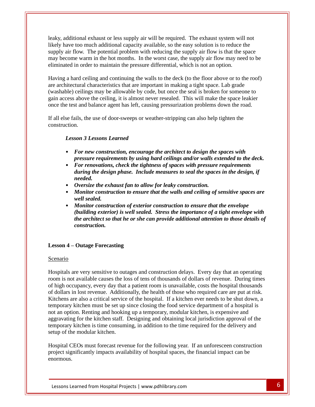leaky, additional exhaust or less supply airwill be required. The exhaust system will not likely have too much additional capacity available, so the easy solution is to reduce the supply air flow. The potential problem with reducing the supply air flow is that the space may become warm in the hot months. In the worst case, the supply air flow may need to be eliminated in order to maintain the pressure differential, which is not an option.

Having a hard ceiling and continuing the walls to the deck (to the floor above or to the roof) are architectural characteristics that are important in making a tight space. Lab grade (washable) ceilings may be allowable by code, but once the seal is broken for someone to gain access above the ceiling, it is almost never resealed. This will make the space leakier once the test and balance agent has left, causing pressurization problems down the road. ï

If all else fails, the use of door-sweeps or weather-stripping can also help tighten the construction.

#### *Lesson 3 Lessons Learned*

- *For new construction, encourage the architect to design the spaces with pressure requirements by using hard ceilings and/or walls extended to the deck.* <sup>ï</sup>
- *For renovations, check the tightness of spaces with pressure requirements during the design phase. Include measures to seal the spaces in the design, if Lesson 3 Lesson*<br>• For new con<br>pressure req<br>• For renovat.<br>during the d<br>needed. *Oversize For new construction, encourage the architect to design the*<br> *Our increasure requirements by using hard ceilings and/or walls ex*<br> *Oversize the design phase. Include measures to seal the spaces*<br> *Oversize the* **Pressure require**<br> **well sealed.**<br> **wellange the exhange of the exhange of the exhange of the exhange of the exhange of the sealed.**<br> **well sealed.**
- 
- *Monitor construction to ensure that the walls and ceiling of sensitive spaces are*
- *Monitor construction of exterior construction to ensure that the envelope (building exterior) is well sealed. Stress the importance of a tight envelope with the architect so that he or she can provide additional attention to those details of construction.*

#### **Lesson 4 – Outage Forecasting**

#### Scenario

Hospitals are very sensitive to outages and construction delays. Every day that an operating room is not available causes the loss of tens of thousands of dollars of revenue. During times of high occupancy, every day that a patient room is unavailable, costs the hospital thousands of dollars in lost revenue. Additionally, the health of those who required care are put at risk. Kitchens are also a critical service of the hospital. If a kitchen ever needs to be shut down, a temporary kitchen must be set up since closing the food service department of a hospital is not an option. Renting and hooking up a temporary, modular kitchen, is expensive and aggravating for the kitchen staff. Designing and obtaining local jurisdiction approval of the temporary kitchen is time consuming, in addition to the time required for the delivery and setup of the modular kitchen.

Hospital CEOs must forecast revenue for the following year. If an unforesceen construction he modular kitchen.<br>
CEOs must forecast revenue for the following year. If an unforesceen construction<br>
gnificantly impacts availability of hospital spaces, the financial impact can be<br>
s.<br>
Learned from Hospital Projects | project significantly impacts availability of hospital spaces, the financial impact can be enormous.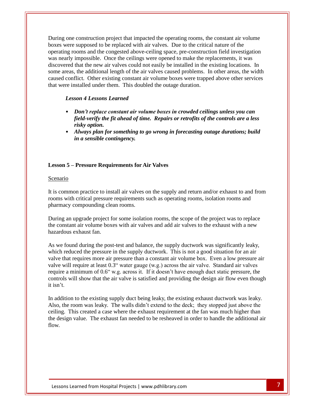During one construction project that impacted the operating rooms, the constant air volume boxes were supposed to be replaced with air valves. Due to the critical nature of the operating rooms and the congested above-ceiling space, pre-construction field investigation was nearly impossible. Once the ceilings were opened to make the replacements, it was discovered that the new air valves could not easily be installed in the existing locations. In some areas, the additional length of the air valves caused problems. In other areas, the width caused conflict. Other existing constant air volume boxes were trapped above other services that were installed under them. This doubled the outage duration.

#### *Lesson 4 Lessons Learned*

- *Donít replace constant air volume boxes in crowded ceilings unless you can field-verify the fit ahead of time. Repairs or retrofits of the controls are a less* re installed under the<br>*Lesson 4 Lessons Le<br>• Don't replace colfield-verify the fit<br><i>risky option*.
- *Always plan for something to go wrong in forecasting outage durations; build in a sensible contingency.*

#### **Lesson <sup>5</sup> <sup>ñ</sup> Pressure Requirements for Air Valves**

#### Scenario

It is common practice to install air valves on the supply and return and/or exhaust to and from rooms with critical pressure requirements such as operating rooms, isolation rooms and pharmacy compounding clean rooms.

During an upgrade project for some isolation rooms, the scope of the project was to replace the constant air volume boxes with air valves and add air valves to the exhaust with a new hazardous exhaust fan.

As we found during the post-test and balance, the supply ductwork was significantly leaky, which reduced the pressure in the supply ductwork. This is not a good situation for an air valve that requires more air pressure than a constant air volume box. Even a low pressure air valve will require at least 0.3" water gauge (w.g.) across the air valve. Standard air valves valve that requires more air pressure than a constant air volume box. Even a low pressure air valve will require at least 0.3<sup>°</sup> water gauge (w.g.) across the air valve. Standard air valves require a minimum of 0.6<sup>°</sup> w.g. controls will show that the air valve is satisfied and providing the design air flow even though require a mi<br>controls wil<br>it isn't.

In addition to the existing supply duct being leaky, the existing exhaust ductwork was leaky. Also, the room was leaky. The walls didn't extend to the deck; they stopped just above the ceiling. This created a case where the exhaust requirement at the fan was much higher than the design value. The exhaust fan needed to be resheaved in order to handle the additional air flow.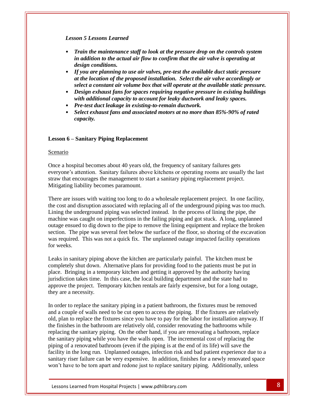#### *Lesson 5 Lessons Learned*

- *Train the maintenance staff to look at the pressure drop on the controls system in addition to the actual air flow to confirm that the air valve is operating at Lesson 5 Lessons Learned*<br>• Train the maintenance<br>in addition to the actudes<br>design conditions.
- *If you are planning to use air valves, pre-test the available duct static pressure at the location of the proposed installation. Select the air valve accordingly or f* you are planning to use air valves, pre-test the available duct static pressure<br>*at the location of the proposed installation. Select the air valve accordingly or*<br>select a constant air volume box that will operate at *w addition to the actual air jiow to conjirm that the air valve is operating at*<br>design conditions.<br>• If you are planning to use air valves, pre-test the available duct static pressur<br>at the location of the proposed ins *Pre-test the available*<br> *Pre-test the available*<br> *Pre-test the available*<br> *duction of the proposed installation. Select the air*<br> *select a constant air volume box that will operate at the available<br> Pre-test <i>ductwo*
- *Design exhaust fans for spaces requiring negative pressure in existing buildings*
- 
- *Select exhaust fans and associated motors at no more than 85%-90% of rated capacity.*

#### **Lesson 6 – Sanitary Piping Replacement**

#### Scenario

Once a hospital becomes about 40 years old, the frequency of sanitary failures gets everyone's attention. Sanitary failures above kitchens or operating rooms are usually the last straw that encourages the management to start a sanitary piping replacement project. Mitigating liability becomes paramount.

There are issues with waiting too long to do a wholesale replacement project. In one facility, the cost and disruption associated with replacing all of the underground piping was too much. Lining the underground piping was selected instead. In the process of lining the pipe, the machine was caught on imperfections in the failing piping and got stuck. A long, unplanned outage ensued to dig down to the pipe to remove the lining equipment and replace the broken section. The pipe was several feet below the surface of the floor, so shoring of the excavation was required. This was not a quick fix. The unplanned outage impacted facility operations for weeks.

Leaks in sanitary piping above the kitchen are particularly painful. The kitchen must be completely shut down. Alternative plans for providing food to the patients must be put in place. Bringing in a temporary kitchen and getting it approved by the authority having jurisdiction takes time. In this case, the local building department and the state had to approve the project. Temporary kitchen rentals are fairly expensive, but for a long outage, they are a necessity.

piping of a renovated bathroom (even if the piping is at the end of its life) will save the the sanitary piping. On the other hand, if you are renovating a bathroom, replace<br>try piping while you have the walls open. The incremental cost of replacing the<br>a renovated bathroom (even if the piping is at the end of it In order to replace the sanitary piping in a patient bathroom, the fixtures must be removed and a couple of walls need to be cut open to access the piping. If the fixtures are relatively old, plan to replace the fixtures since you have to pay for the labor for installation anyway. If the finishes in the bathroom are relatively old, consider renovating the bathrooms while replacing the sanitary piping. On the other hand, if you are renovating a bathroom, replace the sanitary piping while you have the walls open. The incremental cost of replacing the facility in the long run. Unplanned outages, infection risk and bad patient experience due to a sanitary riser failure can be very expensive. In addition, finishes for a newly renovated space facility in the long run. Unplanned outages, infection risk and bad patient experience due t<br>sanitary riser failure can be very expensive. In addition, finishes for a newly renovated spa<br>won't have to be torn apart and red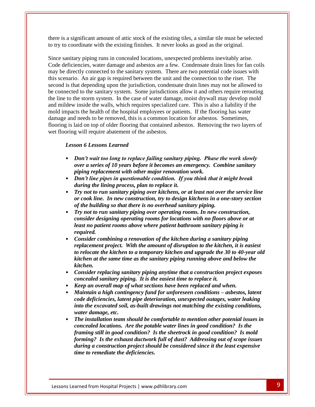there is a significant amount of attic stock of the existing tiles, a similar tile must be selected to try to coordinate with the existing finishes. It never looks as good as the original.

Since sanitary piping runs in concealed locations, unexpected problems inevitably arise. Code deficiencies, water damage and asbestos are a few. Condensate drain lines for fan coils may be directly connected to the sanitary system. There are two potential code issues with this scenario. An air gap is required between the unit and the connection to the riser. The second is that depending upon the jurisdiction, condensate drain lines may not be allowed to be connected to the sanitary system. Some jurisdictions allow it and others require rerouting the line to the storm system. In the case of water damage, moist drywall may develop mold and mildew inside the walls, which requires specialized care. This is also a liability if the mold impacts the health of the hospital employees or patients. If the flooring has water damage and needs to be removed, this is a common location for asbestos. Sometimes, flooring is laid on top of older flooring that contained asbestos. Removing the two layers of wet flooring will require abatement of the asbestos.

#### *Lesson 6 Lessons Learned*

- *Donít wait too long to replace failing sanitary piping. Phase the work slowly* over a series of 10 years before it becomes an emergency. Combine sanitary<br>piping replacement with other major renovation work.<br>Don't line pipes in questionable condition. If you think that it might break *p p pipping <i>replace abatement* of the asbestos.<br> *Pesson 6 Lessons Learned*<br> **•** *Don't wait too long to replace failing sanitary piping. Pha.*<br> *over a series of 10 years before it becomes an emergency.*<br> *piping during theory during during during during during example over a series of 10 years before it becomes an emapping replacement with other major renovation* $\cdot$ *Don't line pipes in questionable c*
- 
- *Try not to run sanitary piping over kitchens, or at least not over the service line or cook line. In new construction, try to design kitchens in a one-story section off a series of 10 years before it becomes an emergency. Compliping replacement with other major renovation work.*<br>
• Don't line pipes in questionable condition. If you think that it not during the lining process, plan to
- *Try not to run sanitary piping over operating rooms. In new construction, consider designing operating rooms for locations with no floors above or at least no patient rooms above where patient bathroom sanitary piping is* • *<i>rry not to run*<br>*or cook line.*<br>*of the buildin*<br>*rry not to run*<br>*consider designess teast no patien*<br>*required.*
- *Consider combining a renovation of the kitchen during a sanitary piping replacement project. With the amount of disruption to the kitchen, it is easiest to relocate the kitchen to a temporary kitchen and upgrade the 30 to 40-year old kitchen at the same time as the sanitary piping running above and below the keast no patured.*<br> *required.*<br> **Consider con**<br> *replacement*<br> *to relocate th*<br> *kitchen at th*<br> *kitchen.* • Consider combining a renovation of the kitchen during a sanitary<br>replacement project. With the amount of disruption to the kitchen<br>to relocate the kitchen to a temporary kitchen and upgrade the 30<br>kitchen at the same tim *Keepacement project.* With the amount of aisruption to the kitchen, it is e<br> *kitchen at the same time as the sanitary piping running above and below*<br> *kitchen at the same time as the sanitary piping running above and b*
- *Consider replacing sanitary piping anytime that a construction project exposes Concealed sanitary piping. It is the easiest time to replace it.*<br>*Keep an overall map of what sections have been replaced and when.*<br>*Maintain a high contingency fund for unforeseen conditions – asbestos, latent*
- 
- *code deficiencies, latent pipe deterioration, unexpected outages, water leaking into the excavated soil, as-built drawings not matching the existing conditions,* • Consider replacing san<br>
concealed sanitary pipi<br>
• Keep an overall map of<br>
• Maintain a high contin<br>
code deficiencies, laten<br>
into the excavated soil,<br>
water damage, etc.
- framing still in good condition? Is the sheetrock in good condition? Is mold<br>forming? Is the exhaust ductwork full of dust? Addressing out of scope issues<br>during a construction project should be considered since it the lea *The installation team should be comfortable to mention other potenial issues in concealed locations. Are the potable water lines in good condition? Is the framing still in good condition? Is the sheetrock in good condition? Is mold forming? Is the exhaust ductwork full of dust? Addressing outof scope issues during a construction project should be considered since it the least expensive time to remediate the deficiencies.*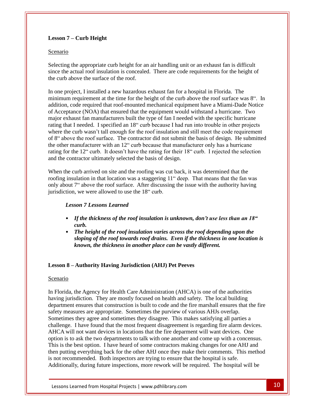#### **Lesson 7 – Curb Height**

#### Scenario

Selecting the appropriate curb height for an air handling unit or an exhaust fan is difficult since the actual roof insulation is concealed. There are code requirements for the height of the curb above the surface of the roof.

In one project, I installed a new hazardous exhaust fan for a hospital in Florida. The minimum requirement at the time for the height of the curb above the roof surface was 8<sup>°</sup>. In addition, code required that roof-mounted mechanical equipment have a Miami-Dade Notice of Acceptance (NOA) that ensured that the equipment would withstand a hurricane. Two major exhaust fan manufacturers built the type of fan I needed with the specific hurricane of Acceptance (NOA) that ensured that the equipment would withstand a hurricane. Two<br>major exhaust fan manufacturers built the type of fan I needed with the specific hurricane<br>rating that I needed. I specified an 18<sup>\*</sup> cur major exhaust fan manufacturers built the type of fan I needed with the specific hurricane<br>rating that I needed. I specified an 18" curb because I had run into trouble in other projects<br>where the curb wasn't tall enough fo rating that I needed. I specified an 18" curb because I had run into trouble in other projects<br>where the curb wasn't tall enough for the roof insulation and still meet the code requirement<br>of 8" above the roof surface. The where the curb wasn't tall enough for the roof insulation and still meet the code requirement<br>of 8<sup>\*</sup> above the roof surface. The contractor did not submit the basis of design. He submitted<br>the other manufacturer with an 1 the other manufacturer with an  $12$ <sup>"</sup> curb because that manufacturer only has a hurricane rating for the  $12$ " curb. It doesn't have the rating for their  $18$ " curb. I rejected the selection and the contractor ultimately selected the basis of design.

When the curb arrived on site and the roofing was cut back, it was determined that the When the curb arrived on site and the roofing was cut back, it was determined that the roofing insulation in that location was a staggering 11<sup>°</sup> deep. That means that the fan was When the curb arrived on site and the roofing was cut back, it was determined that the<br>roofing insulation in that location was a staggering 11" deep. That means that the fan was<br>only about 7" above the roof surface. After roofing insulation in that location was a staggering 11<sup>°</sup> only about 7<sup>°</sup> above the roof surface. After discussing jurisdiction, we were allowed to use the 18<sup>°</sup> curb.

#### *Lesson 7 Lessons Learned*

- *If the thickness of the roof insulation is unknown, donít use less than an 18ì* out *l* above the discrepance of the weight of the discrepance of the discrepance of the discrepance of the discrepance of the curb.
- *The height of the roof insulation varies across the roof depending upon the sloping of the roof towards roof drains. Even if the thickness in one location is known, the thickness in another place can be vastly different.*

#### **Lesson <sup>8</sup> <sup>ñ</sup> Authority Having Jurisdiction (AHJ) Pet Peeves**

#### Scenario

This is the best option. I have heard of some contractors making changes for one AHJ and ill not want devices in locations that the fire deparment will want devices. One<br>to ask the two departments to talk with one another and come up with a concensus.<br>e best option. I have heard of some contractors making chan In Florida, the Agency for Health Care Administration (AHCA) is one of the authorities having jurisdiction. They are mostly focused on health and safety. The local building department ensures that construction is built to code and the fire marshall ensures that the fire safety measures are appropriate. Sometimes the purview of various AHJs overlap. Sometimes they agree and sometimes they disagree. This makes satisfying all parties a challenge. I have found that the most frequent disagreement is regarding fire alarm devices. AHCA will notwant devices in locations that the fire deparment will want devices. One option is to ask the two departments to talk with one another and come up with a concensus. then putting everything back for the other AHJ once they make their comments. This method is not recommended. Both inspectors are trying to ensure that the hospital is safe. Additionally, during future inspections, more rework will be required. The hospital will be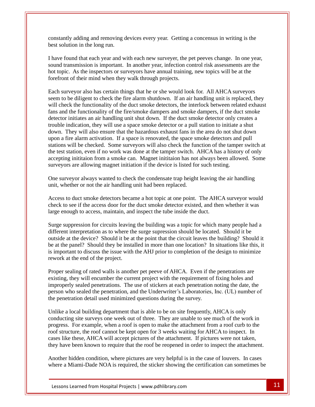constantly adding and removing devices every year. Getting a concensus in writing is the best solution in the long run.

I have found that each year and with each new surveyer, the pet peeves change. In one year, sound transmission is important. In another year, infection control risk assessments are the hot topic. As the inspectors or surveyors have annual training, new topics will be at the forefront of their mind when they walk through projects.

Each surveyor also has certain things that he or she would look for. All AHCA surveyors seem to be diligent to check the fire alarm shutdown. If an air handling unit is replaced, they will check the functionality of the duct smoke detectors, the interlock between related exhaust fans and the functionality of the fire/smoke dampers and smoke dampers, if the duct smoke detector initiates an air handling unit shut down. If the duct smoke detector only creates a trouble indication, they will use a space smoke detector or a pull station to initiate a shut down. They will also ensure that the hazardous exhaust fans in the area do not shut down upon a fire alarm activation. If a space is renovated, the space smoke detectors and pull stations will be checked. Some surveyors will also check the function of the tamper switch at the test station, even if no work was done at the tamper switch. AHCA has a history of only accepting inititaion from a smoke can. Magnet inititaion has not always been allowed. Some surveyors are allowing magnet initiation if the device is listed for such testing.

One surveyor always wanted to check the condensate trap height leaving the air handling unit, whether or not the air handling unit had been replaced.

Access to duct smoke detectors became a hot topic at one point. The AHCA surveyor would check to see if the access door for the duct smoke detector existed, and then whether it was large enough to access, maintain, and inspect the tube inside the duct.

Surge suppression for circuits leaving the building was a topic for which many people had a different interpretation as to where the surge supression should be located. Should it be outside at the device? Should it be at the point that the circuit leaves the building? Should it be at the panel? Should they be installed in more than one location? In situations like this, it is important to discuss the issue with the AHJ prior to completion of the design to minimize rework at the end of the project.

Proper sealing of rated walls is another pet peeve of AHCA. Even if the penetrations are existing, they will encumber the current project with the requirement of fixing holes and improperly sealed penetrations. The use of stickers at each penetration noting the date, the existing, they will encumber the current project with the requirement of fixing holes and<br>improperly sealed penetrations. The use of stickers at each penetration noting the date, the<br>person who sealed the penetration, and the penetration detail used minimized questions during the survey.

they have been known to require that the roof be reopened in order to inspect the attachment. Extracture, the roof cannot be kept open for 3 weeks waiting for AHCA to inspect. In<br>
these, AHCA will accept pictures of the attachment. If pictures were not taken,<br>
theen known to require that the roof be reopened in ord Unlike a local building department that is able to be on site frequently, AHCA is only conducting site surveys one week out of three. They are unable to see much of the work in progress. For example, when a roof is open to make the attachment from a roof curb to the roof structure, the roof cannot be kept open for 3 weeks waiting for AHCA to inspect. In cases like these, AHCA will accept pictures of the attachment. If pictures were not taken,

Another hidden condition, where pictures are very helpful is in the case of louvers. In cases where a Miami-Dade NOA is required, the sticker showing the certification can sometimes be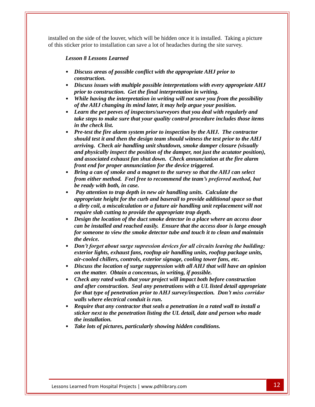installed on the side of the louver, which will be hidden once it is installed. Taking a picture of this sticker prior to installation can save a lot of headaches during the site survey.

#### *Lesson 8 Lessons Learned*

- *Discuss areas of possible conflict with the appropriate AHJ prior to comments of the lot* install<br> *construction. Discuss areas of p*<br> *construction.*
- *Discuss issues with multiple possible interpretations with every appropriate AHJ priories 1 Lessons Learned*<br> **•** Discuss areas of possible conflict with the appropriate AHJ prior<br> **•** Discuss issues with multiple possible interpretations with every apprior to construction. Get the final interpretatio *of* **the** *thereof its <i>thereof its <i>construction. construction. e <i>Discuss issues with multiple possible interpretations with every approprime prior to construction. Get the final interpretation in writing.*
- *While having the interpretation in writing will not save you from the possibility*
- *Learn the pet peeves of inspectors/surveyors that you deal with regularly and take steps to make sure that your quality control procedure includes those items* • Discuss issues with *n*<br>prior to construction.<br>• While having the inte<br>of the AHJ changing<br>• Learn the pet peeves<br>take steps to make su<br>in the check list.
- *Pre-test the fire alarm system prior to inspection by the AHJ. The contractor should testit and then the design team should witness the test prior to the AHJ arriving. Check air handling unit shutdown, smoke damper closure (visually and physically inspect the position of the damper, not just the acutator position), and associated exhaust fan shutdown. Check annunciation at the fire alarm finally are check ust. finally the check ust. ere-test the fire alarm system prior to inspection by the AHJ.* **<b>***1* should test it and then the design team should witness the test p arriving. Check air handling u *beck air handing us*<br> *and physically inspect the positi*<br> *and associated exhaust fan shui*<br> *front end for proper annunciati*<br> **both,** *inces if the ready with both, in case.*
- *Bring a can of smoke and a magnet to the survey so that the AHJ can select front end for proper annunciation for the device triggered.*<br>*Bring a can of smoke and a magnet to the survey so that the AHJ can select*<br>*from either method. Feel free to recommend the team's preferred method, but*
- *Pay attention to trap depth in new air handling units. Calculate the appropriate height for the curb and baserail to provide additional space so that a dirty coil, a miscalculation or a future air handling unit replacement will not* • *Fring a can of smoke ana a magnet to the survey so that the A from either method. Feel free to recommend the team's prefer be ready with both, in case.<br>• <i>Pay attention to trap depth in new air handling units. Calcula a*
- *Design the location of the duct smoke detector in a place where an access door can be installed and reached easily. Ensure that the access door is large enough for someone to view the smoke detector tube and touch it to clean and maintain theory appropriate net*<br> *a dirty coil, a m*<br> *require slab cu*<br> **b** *Design the loca*<br> *can be installed*<br> *for someone to*<br> *the device. Donít forget about surge supression devices for all circuits leaving the building:* • Design the location of the auct smoke aetector in a place where an access<br>can be installed and reached easily. Ensure that the access door is large<br>for someone to view the smoke detector tube and touch it to clean and ma
- *exterior lights, exhaust fans, rooftop air handling units, rooftop package units, for someone to view the smoke aetector tube and touch it to cut<br>the device.*<br>
• Don't forget about surge supression devices for all circuits leat<br>
exterior lights, exhaust fans, rooftop air handling units, roofto<br>
air-coo
- *Discuss the location of surge suppression with all AHJ that will have an opinion*
- *Check any rated walls that your project will impact both before construction and after construction. Seal any penetrations with a UL listed detail appropriate f theck any rated walls that your project will impact both before construction*<br>*and after construction. Seal any penetrations with a UL listed detail appropriate*<br>for that type of penetration prior to AHJ survey/inspec *ware Coolea chulers, controis, exterior sign*<br> **w**<br> *conthe matter. Obtain a concensus, in wr*<br> *check any rated walls that your project w*<br> *and after construction. Seal any penetrat*<br> *for that type of penetration prior* • Check any ratea wall<br>and after construction<br>for that type of pene<br>walls where electrice<br>**Require that any conducts**<br>sticker next to the pe<br>the installation.
- *Require that any contractor that seals a penetration in a rated wall to install a sticker next to the penetration listing the UL detail, date and person who made*
- *Take lots of pictures, particularly showing hidden conditions.*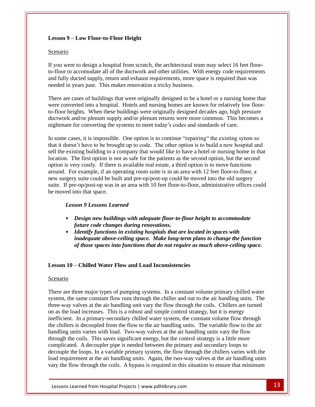#### **Lesson <sup>9</sup> <sup>ñ</sup> Low Floor-to-Floor Height**

#### Scenario

If you were to design a hospital from scratch, the architectural team may select 16 feet floorto-floor to accomodate all of the ductwork and other utilities. With energy code requirements and fully ducted supply, return and exhaust requirements, more space is required than was needed in years past. This makes renovation a tricky business.

There are cases of buildings that were originally designed to be a hotel or a nursing home that were converted into a hospital. Hotels and nursing homes are known for relatively low floorto-floor heights. When these buildings were originally designed decades ago, high pressure ductwork and/or plenum supply and/or plenum returns were more common. This becomes a nightmare for converting the systems to meet t ductwork and/or plenum supply and/or plenum returns were more common. This becomes a nightmare for converting the systems to meet today's codes and standards of care.<br>In some cases, it is impossible. One option is to continue "repairing" the existing sytem so

In some cases, it is impossible. One option is to continue "repairing" the existing sytem so that it doesn't have to be brought up to code. The other option is to build a new hospital and sell the existing building to a company that would like to have a hotel or nursing home in that location. The first option is not as safe for the patients as the second option, but the second option is very costly. If there is available real estate, a third option is to move functions around. For example, if an operating room suite is in an area with 12 feet floor-to-floor, a ïnew surgery suite could be built and pre-op/post-op could be moved into the old surgery suite. If pre-op/post-op was in an area with 10 feet floor-to-floor, administrative offices could be moved into that space.

#### *Lesson 9 Lessons Learned*

- *Design new buildings with adequate floor-to-floor height to accommodate f* pre-op/post-op was in an area with 10 feet floor-<br> *ed into that space.*<br> *Lesson 9 Lessons Learned*<br>
• Design new buildings with adequate floor-to-<br> *future code changes during renovations.*
- *Identify functions in existing hospitals that are located in spaces with inadequate above-ceiling space. Make long-term plans to change the function of those spaces into functions that do notrequire as much above-ceiling space.*

#### **Lesson <sup>10</sup> <sup>ñ</sup> Chilled Water Flow and Load Inconsistencies**

#### Scenario

complicated. A decoupler pipe is needed between the primary and secondary loops to units varies with load. Two-way valves at the air handling units vary the flow<br>he coils. This saves significant energy, but the control strategy is a little more<br>ted. A decoupler pipe is needed between the primary and seco There are three major types of pumping systems. In a constant volume primary chilled water system, the same constant flow runs through the chiller and out to the air handling units. The three-way valves at the air handling unit vary the flow through the coils. Chillers are turned on as the load increases. This is a robust and simple control strategy, but it is energy inefficient. In a primary-secondary chilled water system, the constant volume flow through the chillers is decoupled from the flow to the air handling units. The variable flow to the air handling units varies with load. Two-way valves at the air handling units vary the flow through the coils. This saves significant energy, but the control strategy is a little more decouple the loops. In a variable primary system, the flow through the chillers varies with the load requirement at the air handling units. Again, the two-way valves at the air handling units vary the flow through the coils. A bypass is required in this situation to ensure that minimum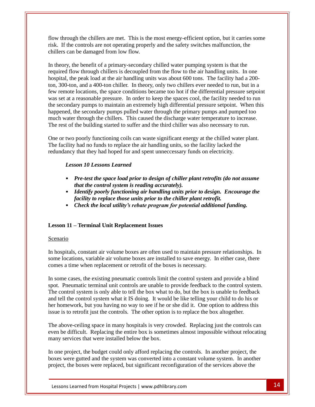flow through the chillers are met. This is the most energy-efficient option, but it carries some risk. If the controls are not operating properly and the safety switches malfunction, the chillers can be damaged from low flow.

In theory, the benefit of a primary-secondary chilled water pumping system is that the required flow through chillers is decoupled from the flow to the air handling units. In one hospital, the peak load at the air handling units was about 600 tons. The facility had a 200 ton, 300-ton, and a 400-ton chiller. In theory, only two chillers ever needed to run, but in a few remote locations, the space conditions became too hot if the differential pressure setpoint was set at a reasonable pressure. In order to keep the spaces cool, the facility needed to run the secondary pumps to maintain an extremely high differential pressure setpoint. When this happened, the secondary pumps pulled water through the primary pumps and pumped too much water through the chillers. This caused the discharge water temperature to increase.

The rest of the building started to suffer and the third chiller was also necessary to run.<br>One or two poorly functioning coils can waste significant energy at the chilled water plant. The facility had no funds to replace the air handling units, so the facility lacked the redundancy that they had hoped for and spent unneccessary funds on electricity.

#### *Lesson 10 Lessons Learned*

- *Pre-test the space load prior to design of chiller plant retrofits (do notassume that they had hoped for and spent unneccessary funcy that they had hoped for and spent unneccessary functions <i>Learned*<br>
• *Pre-test the space load prior to design of chiller plathat the control system is reading accurate fact 10 Lessons Learned*<br>
• *Pre-test the space load prior to design of chiller plant retrofits (do*<br> *that the control system is reading accurately).*<br>
• *Identify poorly functioning air handling units prior to design. E*
- *Identify poorly functioning air handling units prior to design. Encourage the Chentify poorly functioning air handling units prior to design. Encourage the*<br>facility to replace those units prior to the chiller plant retrofit.<br>Check the local utility's rebate program for potential additional funding
- 

#### **Lesson 11 – Terminal Unit Replacement Issues**

#### Scenario

In hospitals, constant air volume boxes are often used to maintain pressure relationships. In some locations, variable air volume boxes are installed to save energy. In either case, there comes a time when replacement or retrofit of the boxes is necessary.

In some cases, the existing pneumatic controls limit the control system and provide a blind spot. Pneumatic terminal unit controls are unable to provide feedback to the control system. The control system is only able to tell the box what to do, but the box is unable to feedback and tell the control system what it IS doing. It would be like telling your child to do his or her homework, but you having no way to see if he or she did it. One option to address this issue is to retrofit just the controls. The other option is to replace the box altogether.

The above-ceiling space in many hospitals is very crowded. Replacing just the controls can even be difficult. Replacing the entire box is sometimes almost impossible without relocating many services that were installed below the box.

lifficult. Replacing the entire box is sometimes almost impossible without relocating<br>vices that were installed below the box.<br>oject, the budget could only afford replacing the controls. In another project, the<br>re gutted a In one project, the budget could only afford replacing the controls. In another project, the boxes were gutted and the system was converted into a constant volume system. In another project, the boxes were replaced, but significant reconfiguration of the services above the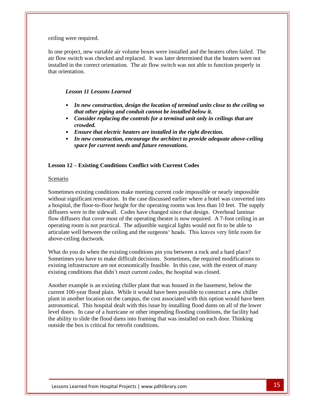ceiling were required.

In one project, new variable air volume boxes were installed and the heaters often failed. The air flow switch was checked and replaced. It was later determined that the heaters were not ïinstalled in the correct orientation. The air flow switch was not able to function properly in that orientation.

#### *Lesson 11 Lessons Learned*

- *In new construction, design the location of terminal units close to the ceiling so thathanism*<br>*that ones in Lessons Learned*<br>• In new construction, design the location of terminal units close to t.<br>that other piping and conduit cannot be installed below it. *Ensure II Lessons Learnea*<br> **e**<br> *that* other piping and conduit cannot be installed below it.<br> **e**<br> **consider replacing the controls for a terminal unit only in ceilings<br>** *crowded.***<br>
<b>e** Ensure that electric heaters are
- *Consider replacing the controls for a terminal unit only in ceilings that are croward 11 Lesson*<br> **c** *constrate that other pip*<br> **c** *consider repl*<br> *crowded.*
- 
- *In new construction, encourage the architect to provide adequate above-ceiling*  $\bullet$ *space for current needs and future renovations.*

#### **Lesson <sup>12</sup> <sup>ñ</sup> Existing Conditions Conflict with Current Codes**

#### Scenario

Sometimes existing conditions make meeting current code impossible or nearly impossible without significant renovation. In the case discussed earlier where a hotel was converted into a hospital, the floor-to-floor height for the operating rooms was less than 10 feet. The supply diffusers were in the sidewall. Codes have changed since that design. Overhead laminar flow diffusers that cover most of the operating theatre is now required. A 7-foot ceiling in an operating room is not practical. The adjustible surgical lights would not fit to be able to articulate well between the ceilin operating room is not practical. The adjustible surgical lights would not fit to be able to above-ceiling ductwork.

What do you do when the existing conditions pin you between a rock and a hard place? Sometimes you have to make difficult decisions. Sometimes, the required modifications to existing infrastructure are not economically feasible. In this case, with the extent of many existing conditions that didn't meet cur existing infrastructure are not economically feasible. In this case, with the extent of many

Another example is an existing chiller plant that was housed in the basement, below the current 100-year flood plain. While it would have been possible to construct a new chiller plant in another location on the campus, the cost associated with this option would have been astronomical. This hospital dealt with this issue by installing flood dams on all of the lower level doors. In case of a hurricane or other impending flooding conditions, the facility had the ability to slide the flood dams into framing that was installed on each door. Thinking outside the box is critical for retrofit conditions.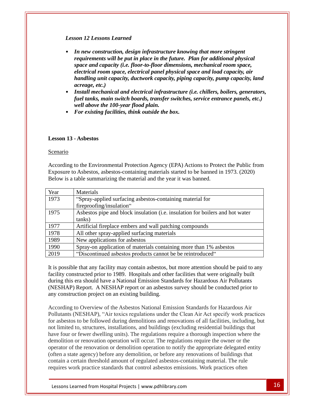#### *Lesson 12 Lessons Learned*

- *In new construction, design infrastructure knowing that more stringent requirements will be put in place in the future. Plan for additional physical space and capacity (i.e. floor-to-floor dimensions, mechanical room space, electrical room space, electrical panel physical space and load capacity, air handling unit capacity, ductwork capacity, piping capacity, pump capacity, land* • In new construction<br> *requirements will b*<br> *space and capacity*<br> *electrical room spal*<br> *handling unit capa*<br> *acreage, etc.*) *welectrical room space, electrical panel plainetical room space, electrical panel planel planel in thandling unit capacity, ductwork capaciacreage, etc.)<br> • Install mechanical and electrical infrast fuel tanks, main swi*
- *Install mechanical and electrical infrastructure (i.e. chillers, boilers, generators, fuel tanks, main switch boards, transfer switches, service entrance panels, etc.)*
- *For existing facilities, think outside the box.*

#### **Lesson 13 - Asbestos**

#### Scenario

According to the Environmental Protection Agency (EPA) Actions to Protect the Public from Exposure to Asbestos, asbestos-containing materials started to be banned in 1973. (2020) Below is a table summarizing the material and the year it was banned.

| Year | <b>Materials</b>                                                              |
|------|-------------------------------------------------------------------------------|
| 1973 | "Spray-applied surfacing asbestos-containing material for                     |
|      | fireproofing/insulation"                                                      |
| 1975 | Asbestos pipe and block insulation (i.e. insulation for boilers and hot water |
|      | tanks)                                                                        |
| 1977 | Artificial fireplace embers and wall patching compounds                       |
| 1978 | All other spray-applied surfacing materials                                   |
| 1989 | New applications for asbestos                                                 |
| 1990 | Spray-on application of materials containing more than 1% asbestos            |
| 2019 | "Discontinued asbestos products cannot be be reintroduced"                    |

It is possible that any facility may contain asbestos, but more attention should be paid to any facility constructed prior to 1989. Hospitals and other facilities that were originally built during this era should have a National Emission Standards for Hazardous Air Pollutants (NESHAP) Report. A NESHAP report or an asbestos survey should be conducted prior to any construction project on an existing building.

operator of the renovation or demolition operation to notify the appropriate delegated entity Consider the resulting units). The regulations require a thorough inspection where the in or renovation operation will occur. The regulations require the owner or the of the renovation or demolition operation to notify the According to Overview of the Asbestos National Emission Standards for Hazardous Air Pollutants (NESHAP), "Air toxics regulations under the Clean Air Act specify work practices for asbestos to be followed during demolitions and renovations of all facilities, including, but not limited to, structures, installations, and buildings (excluding residential buildings that have four or fewer dwelling units). The regulations require a thorough inspection where the demolition or renovation operation will occur. The regulations require the owner or the (often a state agency) before any demolition, or before any renovations of buildings that contain a certain threshold amount of regulated asbestos-containing material. The rule requires work practice standards that control asbestos emissions. Work practices often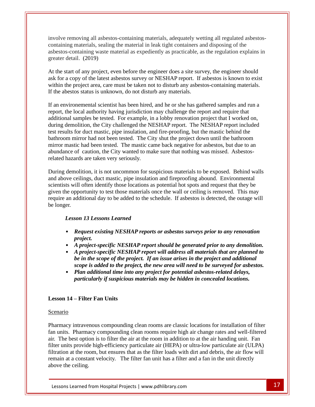involve removing all asbestos-containing materials, adequately wetting all regulated asbestos containing materials, sealing the material in leak tight containers and disposing of the asbestos-containing waste material as expediently as practicable, as the regulation explains in greater detail. (2019)

At the start of any project, even before the engineer does a site survey, the engineer should ask for a copy of the latest asbestos survey or NESHAP report. If asbestos is known to exist within the project area, care must be taken not to disturb any asbestos-containing materials. If the abestos status is unknown, do not disturb any materials.

If an environemental scientist has been hired, and he or she has gathered samples and run a report, the local authority having jurisdiction may challenge the report and require that additional samples be tested. For example, in a lobby renovation project that I worked on, during demolition, the City challenged the NESHAP report. The NESHAP report included test results for duct mastic, pipe insulation, and fire-proofing, but the mastic behind the bathroom mirror had not been tested. The City shut the project down until the bathroom mirror mastic had been tested. The mastic came back negative for asbestos, but due to an abundance of caution, the City wanted to make sure that nothing was missed. Asbestosrelated hazards are taken very seriously.

During demolition, it is not uncommon for suspicious materials to be exposed. Behind walls and above ceilings, duct mastic, pipe insulation and fireproofing abound. Environmental scientists will often identify those locations as potential hot spots and request that they be given the opportunity to test those materials once the wall or ceiling is removed. This may require an additional day to be added to the schedule. If asbestos is detected, the outage will be longer.

#### *Lesson 13 Lessons Learned*

- *Request existing NESHAP reports or asbestos surveys prior to any renovation* an additional da<br>er.<br>*Lesson 13 Lesso<br>• Request exis<br>project. A Propertional 3 Lessons Learned*<br>• Request existing NESHAP reports or asbestos surveys prior to any renovation<br>• A project-specific NESHAP report should be generated prior to any demolition.
- 
- *A project-specific NESHAP report will address all materials that are planned to be in the scope of the project. If an issue arises in the project and additional saure is a project.*<br> **•** *A project-specific NESHAP report should be generated prior to any demolition.*<br> **•** *A project-specific NESHAP report will address all materials that are planned to*<br> *be in the scope of the p*
- $\bullet$  *Plan additional time into any project for potential asbestos-related delays, particularly ifsuspicious materials may be hidden in concealed locations.*

#### **Lesson <sup>14</sup> <sup>ñ</sup> Filter Fan Units**

#### Scenario

filter units provide high-efficiency particulate air (HEPA) or ultra-low particulate air (ULPA) Pharmacy compounding clean rooms require high air change rates and well-filtered<br>best option is to filter the air at the room in addition to at the air handing unit. Fan<br>s provide high-efficiency particulate air (HEPA) or Pharmacy intravenous compounding clean rooms are classic locations for installation of filter fan units. Pharmacy compounding clean rooms require high air change rates and well-filtered air. The best option is to filter the air at the room in addition to at the air handing unit. Fan filtration at the room, but ensures that as the filter loads with dirtand debris, the air flow will remain at a constant velocity. The filter fan unit has a filter and a fan in the unit directly above the ceiling.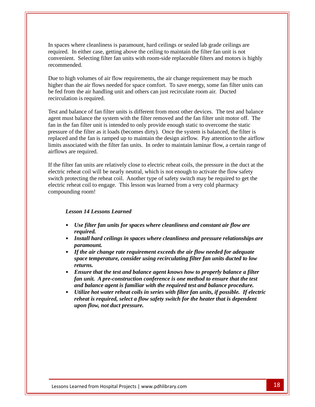In spaces where cleanliness is paramount, hard ceilings or sealed lab grade ceilings are required. In either case, getting above the ceiling to maintain the filter fan unit is not convenient. Selecting filter fan units with room-side replaceable filters and motors is highly recommended.

Due to high volumes of air flow requirements, the air change requirement may be much higher than the air flows needed for space comfort. To save energy, some fan filter units can be fed from the air handling unit and others can just recirculate room air. Ducted recirculation is required.

Test and balance of fan filter units is different from most other devices. The test and balance agent must balance the system with the filter removed and the fan filter unit motor off. The fan in the fan filter unit is intended to only provide enough static to overcome the static pressure of the filter as itloads (becomes dirty). Once the system is balanced, the filter is replaced and the fan is ramped up to maintain the design airflow. Pay attention to the airflow limits associated with the filter fan units. In order to maintain laminar flow, a certain range of airflows are required.

If the filter fan units are relatively close to electric reheat coils, the pressure in the duct at the electric reheat coil will be nearly neutral, which is not enough to activate the flow safety switch protecting the reheat coil. Another type of safety switch may be required to get the ïelectric reheat coil to engage. This lesson was learned from a very cold pharmacy compounding room!

#### *Lesson 14 Lessons Learned*

- *Use filter fan units for spaces where cleanliness and constant air flow are* required.<br>*Lesson 14 Lesson<br>• Use filter fan<br>required. Paramonton 14 Lessons*<br> **•** *Use filter fan un*<br> *required.*<br>
• *Install hard ceiling paramount.*
- *Install hard ceilings in spaces where cleanliness and pressure relationships are*
- *If the air change rate requirement exceeds the air flow needed for adequate space temperature, consider using recirculating filter fan units ducted to low* • Use *futer far*<br>required.<br>• Install hard<br>paramount.<br>• If the air che<br>space temper<br>returns.
- *Ensure that the test and balance agent knows how to properly balance a filter fan unit. A pre-construction conference is one method to ensure that the test and is f fthe air change rate requirement exceeds the air flow needed for adequate*<br>space temperature, consider using recirculating filter fan units ducted to low<br>returns.<br>**a** *Ensure that the test and balance agent*
- *Utilize hot water reheat coils in series with filter fan units, if possible. If electric reheat is required, select a flow safety switch for the heater that is dependent upon flow,not duct pressure.*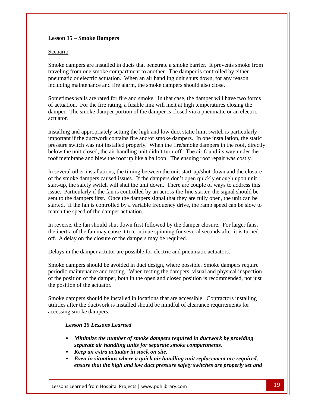#### **Lesson 15** – **Smoke Dampers**

#### Scenario

Smoke dampers are installed in ducts that penetrate a smoke barrier. It prevents smoke from traveling from one smoke compartment to another. The damper is controlled by either pneumatic or electric actuation. When an air handling unit shuts down, for any reason including maintenance and fire alarm, the smoke dampers should also close.

Sometimes walls are rated for fire and smoke. In that case, the damper will have two forms of actuation. For the fire rating, a fusible link will melt at high temperatures closing the damper. The smoke damper portion of the damper is closed via a pneumatic or an electric actuator.

Installing and appropriately setting the high and low duct static limit switch is particularly important if the ductwork contains fire and/or smoke dampers. In one installation, the static pressure switch was not installed properly. When the fire/smoke dampers in the roof, directly important if the ductwork contains fire and/or smoke dampers. In one installation, the static<br>pressure switch was not installed properly. When the fire/smoke dampers in the roof, directly<br>below the unit closed, the air han roof membrane and blew the roof up like a balloon. The ensuing roof repair was costly.

In several other installations, the timing between the unit start-up/shut-down and the closure of the smoke dampers caused issues. If the dampers don't open quickly enough upon unit start-up, the safety switch will shut the unit down. There are couple of ways to address this issue. Particularly if the fan is controlled by an across-the-line starter, the signal should be sent to the dampers first. Once the dampers signal that they are fully open, the unit can be started. If the fan is controlled by a variable frequency drive, the ramp speed can be slow to match the speed of the damper actuation.

In reverse, the fan should shut down first followed by the damper closure. For larger fans, the inertia of the fan may cause it to continue spinning for several seconds after it is turned off. A delay on the closure of the dampers may be required.

Delays in the damper actutor are possible for electric and pneumatic actuators.

Smoke dampers should be avoided in duct design, where possible. Smoke dampers require periodic maintenance and testing. When testing the dampers, visual and physical inspection of the position of the damper, both in the open and closed position is recommended, not just the position of the actuator.

Smoke dampers should be installed in locations that are accessible. Contractors installing utilities after the ductwork is installed should be mindful of clearance requirements for accessing smoke dampers.

#### *Lesson 15 Lessons Learned*

- *Minimize the number of smoke dampers required in ductwork by providing separate the ductwork is installed should be mindful of clearance requiremeng smoke dampers.*<br>*Lesson 15 Lessons Learned*<br>• *Minimize the number of smoke dampers required in ductwork by p*<br>*separate air handling units for keeparate air handling units for separate smoke compartments.*<br>**Keep** *an extra actuator in stock on site.*
- 
- Minimize the number of smoke dampers required in ductwork by providing<br>separate air handling units for separate smoke compartments.<br>Keep an extra actuator in stock on site.<br>Even in situations where a quick air handling uni *Even in situations where a quick air handling unit replacement are required, ensure that the high and low duct pressure safety switches are properly set and*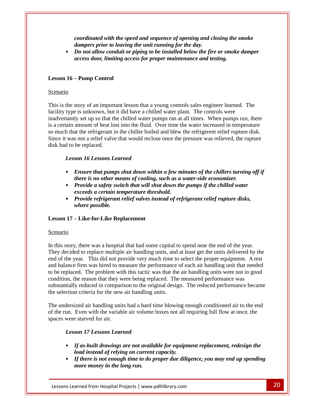*coordinated with the speed and sequence of opening and closing the smoke d*<br> **discreparated is a** *dependent of opening and c***<br>** *dampers prior to leaving the unit running for the day.* 

 *Do not allow conduit or piping to be installed below the fire or smoke damper access door, limiting access for proper maintenance and testing.*

#### **Lesson <sup>16</sup> <sup>ñ</sup> Pump Control**

#### Scenario

This is the story of an important lesson that a young controls sales engineer learned. The facility type is unknown, but it did have a chilled water plant. The controls were inadvertantly set up so that the chilled water pumps ran at all times. When pumps run, there is a certain amount of heat lost into the fluid. Over time the water increased in temperature ïso much that the refrigerant in the chiller boiled and blew the refrigerent relief rupture disk. Since it was not a relief valve that would reclose once the pressure was relieved, the rupture disk had to be replaced.

#### *Lesson 16 Lessons Learned*

- *Ensure that pumps shut down within a few minutes of the chillers turning off if therefore is a relief valve that would reclose once the pressure was relieved, the real to be replaced.<br>
<i>Lesson 16 Lessons Learned*<br>
• *Ensure that pumps shut down within a few minutes of the chillers turnin there is no Lesson 16 Lessons Learned*<br>
• Ensure that pumps shut down within a few m<br>
there is no other means of cooling, such as a<br>
• Provide a safety switch that will shut down th<br>
exceeds a certain temperature threshold.
- *Provide a safety switch that will shut down the pumps if the chilled water*
- *Provide refrigerant relief valves instead of refrigerant relief rupture disks, where possible.*

#### **Lesson 17 – Like-for-Like Replacement**

#### Scenario

In this story, there was a hospital that had some capital to spend near the end of the year. They decided to replace multiple air handling units, and at least get the units delivered by the end of the year. This did not provide very much time to select the proper equipment. A test and balance firm was hired to measure the performance of each air handling unit that needed to be replaced. The problem with this tactic was that the air handling units were not in good condition, the reason that they were being replaced. The measured performance was substantially reduced in comparison to the original design. The reduced performance became the selection criteria for the new air handling units.

The undersized air handling units had a hard time blowing enough conditioned airto the end of the run. Even with the variable air volume boxes not all requiring fullflow at once, the spaces were starved for air. ï

#### *Lesson 17 Lessons Learned*

- Lessons *If as-built drawings are not available for equipment replacement, redesign the* esson 17 Lessons Learned<br>
If as-built drawings are not available for equipment replacement, redesign the<br>
load instead of relying on current capacity.<br>
If there is not enough time to do proper due diligence, you may end up *load Exercise Boxes hot all 1*<br>*lowere starved for air.*<br>*Lesson 17 Lessons Learned*<br>• *If as-built drawings are not available for equipr*<br>*load instead of relying on current capacity.* 
	- *If there is not enough time to do proper due diligence, you may end up spending more money in the long run.*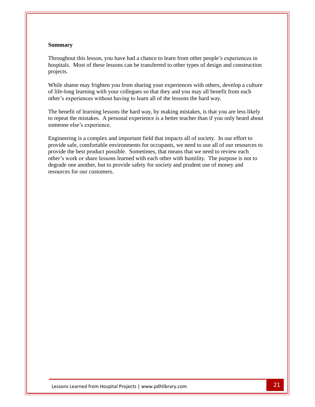#### **Summary**

Throughout this lesson, you have had a chance to learn from other people's experiences in hospitals. Most of these lessons can be transferred to other types of design and construction projects.

While shame may frighten you from sharing your experiences with others, develop a culture of life-long learning with your collegues so that they and you may all benefit from each other's experiences without having to learn of life-long learning with your collegues so that they and you may all benefit from each

The benefit of learning lessons the hard way, by making mistakes, is that you are less likely to repeat the mistakes. A personal experience is a better teacher than if you only heard about someone else's experience. to repeat the mistakes. A personal experience is a better teacher than if you only heard about

Engineering is a complex and important field that impacts all of society. In our effort to provide safe, comfortable environments for occupants, we need to use all of our resources to provide the best product possible. Sometimes, that means that we need to review each other's work or share lessons learned with e provide the best product possible. Sometimes, that means that we need to review each degrade one another, but to provide safety for society and prudent use of money and resources for our customers.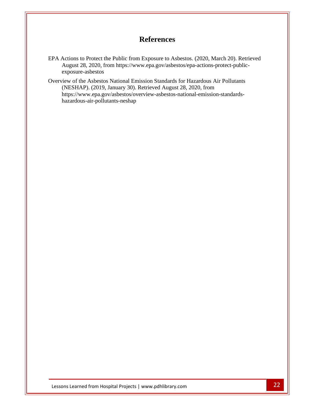## **References**

- EPA Actions to Protect the Public from Exposure to Asbestos. (2020, March 20). Retrieved August 28, 2020, from [https://www.epa.gov/asbestos/epa-actions-protect-public](https://www.epa.gov/asbestos/epa-actions-protect-public-) exposure-asbestos
- Overview of the Asbestos National Emission Standards for Hazardous Air Pollutants (NESHAP). (2019, January 30). Retrieved August 28, 2020, from [https://www.epa.gov/asbestos/overview-asbestos-national-emission-standards](https://www.epa.gov/asbestos/overview-asbestos-national-emission-standards-) hazardous-air-pollutants-neshap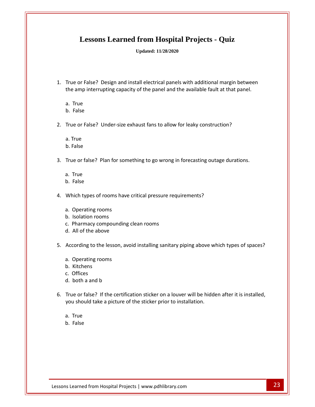# **Lessons Learned from Hospital Projects - Quiz<br>
Updated: 11/28/2020<br>
True or False? Design and install electrical panels with additional margin between**

**Updated: 11/28/2020**

- $2000 \times 3225$  and  $2000$  and  $2000$  and  $2000$  and  $2000$  and  $2000$  and  $2000$  and  $2000$  and  $2000$  and  $2000$  and  $2000$  and  $2000$  and  $2000$  and  $2000$  and  $2000$  and  $2000$  and  $2000$  and  $2000$  and  $2000$  and  $2000$ e or False? D<br>e amp interrup<br>True e or False? De<br>e amp interrup<br>True<br>False 2. True or False? Design and install electrical panels with additional margin betwe<br>the amp interrupting capacity of the panel and the available fault at that panel.<br>a. True<br>b. False<br>2. True or False? Under-size exhaust fa the amp interrupting capacity of the panel and the available fault at that panel.
	- a. True
	-
- True<br>True<br>False<br>ue or False? U<br>True True<br>False<br>ue or False? U<br>True<br>False
	- a. True
- True or False? Under-size exhaust fans to allow for leaky construction?<br>a. True<br>b. False<br>True or false? Plan for something to go wrong in forecasting outage durations. True<br>False<br>ie or false? Pl<br>True Frue<br>False<br>ie or false? Pla<br>True<br>False True or false? Plan for something to go wrong in forecasting outage<br>a. True<br>b. False<br>Which tvpes of rooms have critical pressure requirements?
	- a. True
	- b. False
- True<br>False<br>nich types of rooms have<br>Operating rooms True<br>False<br>nich types of rooms hav<br>Operating rooms<br>Isolation rooms False<br>
ich types of rooms have critical pressure red<br>
Operating rooms<br>
Isolation rooms<br>
Pharmacy compounding clean rooms Mich types of rooms have<br>All of the above<br>The above<br>Suppose above<br>The above<br>All of the above
	- a. Operating rooms<br>b. Isolation rooms
	-
	- Isolation rooms<br>Pharmacy compounding<br>All of the above<br>cording to the lesson, av<br>Operating rooms c. Pharmacy comp<br>d. All of the above<br>According to the le<br>a. Operating room<br>b. Kitchens
	- d. All of the above All of the above<br>cording to the<br>Operating roo<br>Kitchens<br>Offices d.
- According to the lesson, avoid installing sanitary piping above which types of spaces?<br>According to the lesson, avoid installing sanitary piping above which types of spaces? cording to the lesson, a<br>Operating rooms<br>Kitchens<br>Offices<br>both a and b 6.
	-
	-
	-
	- c. Offices<br>d. both a and b
- True or false? If the certification sticker on a louver will be hidden after it is installed.<br>True or false? If the certification sticker on a louver will be hidden after it is installed. a. Operating rooms<br>
b. Kitchens<br>
c. Offices<br>
d. both a and b<br>
True or false? If the certification sticker on a louver will be hidd<br>
you should take a picture of the sticker prior to installation. Offices<br>both a and b<br>ue or false? If<br>u should take<br>True both<br>
ie or<br>
i sho<br>
True<br>
False
	-
	-